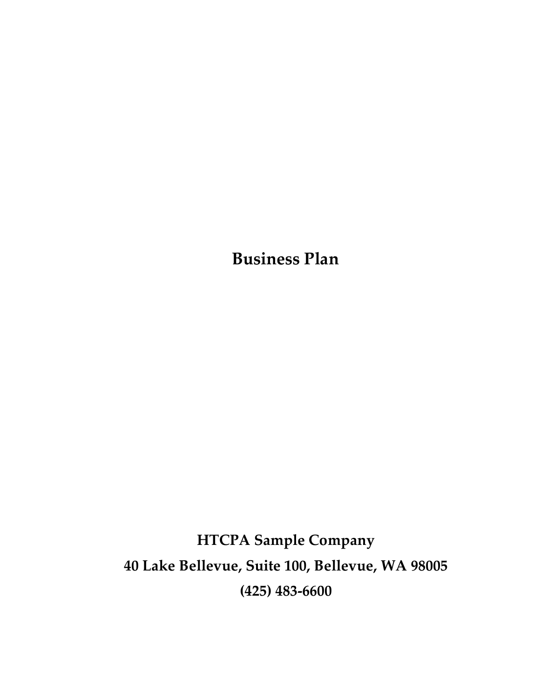Business Plan

HTCPA Sample Company 40 Lake Bellevue, Suite 100, Bellevue, WA 98005 (425) 483-6600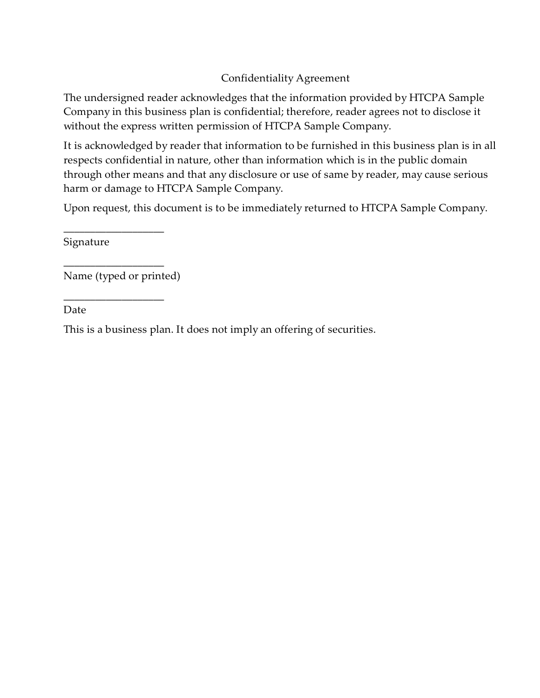#### Confidentiality Agreement

The undersigned reader acknowledges that the information provided by HTCPA Sample Company in this business plan is confidential; therefore, reader agrees not to disclose it without the express written permission of HTCPA Sample Company.

It is acknowledged by reader that information to be furnished in this business plan is in all respects confidential in nature, other than information which is in the public domain through other means and that any disclosure or use of same by reader, may cause serious harm or damage to HTCPA Sample Company.

Upon request, this document is to be immediately returned to HTCPA Sample Company.

Signature

Name (typed or printed)

\_\_\_\_\_\_\_\_\_\_\_\_\_\_\_\_\_\_\_

\_\_\_\_\_\_\_\_\_\_\_\_\_\_\_\_\_\_\_

\_\_\_\_\_\_\_\_\_\_\_\_\_\_\_\_\_\_\_

Date

This is a business plan. It does not imply an offering of securities.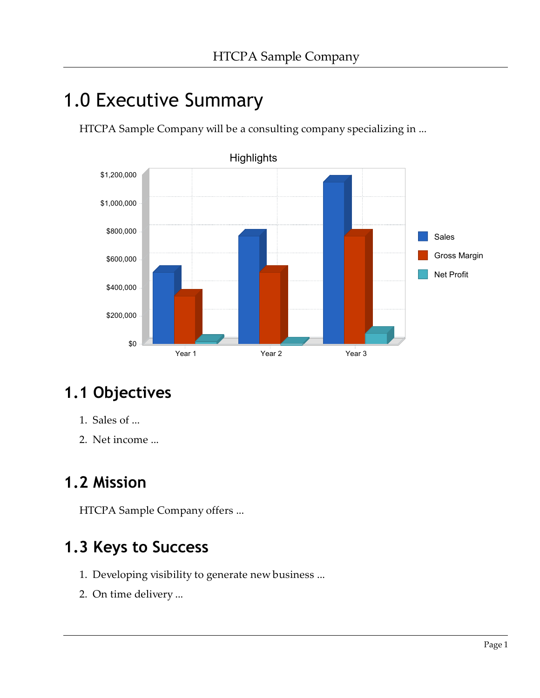# 1.0 Executive Summary

HTCPA Sample Company will be a consulting company specializing in ...



## 1.1 Objectives

- 1. Sales of ...
- 2. Net income ...

### 1.2 Mission

HTCPA Sample Company offers ...

#### 1.3 Keys to Success

- 1. Developing visibility to generate new business ...
- 2. On time delivery ...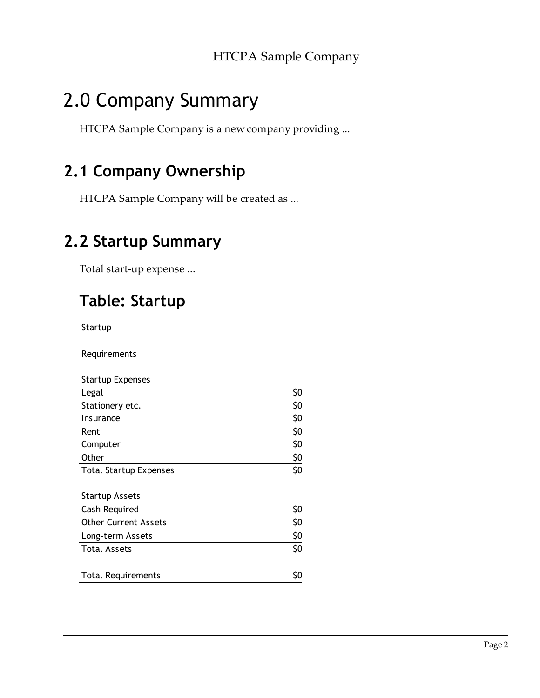# 2.0 Company Summary

HTCPA Sample Company is a new company providing ...

### 2.1 Company Ownership

HTCPA Sample Company will be created as ...

#### 2.2 Startup Summary

Total start-up expense ...

## Table: Startup

**Startup** 

| Requirements |  |
|--------------|--|
|              |  |

| <b>Startup Expenses</b>                      |     |
|----------------------------------------------|-----|
| Legal                                        | \$0 |
| Stationery etc.                              | \$0 |
| Insurance                                    | \$0 |
| Rent                                         | \$0 |
| Computer                                     | \$0 |
| Other                                        | \$0 |
| <b>Total Startup Expenses</b>                | \$0 |
| <b>Startup Assets</b>                        |     |
|                                              | \$0 |
| Cash Required<br><b>Other Current Assets</b> | \$0 |
| Long-term Assets                             | \$0 |
| <b>Total Assets</b>                          | \$0 |
|                                              |     |
| <b>Total Requirements</b>                    | \$0 |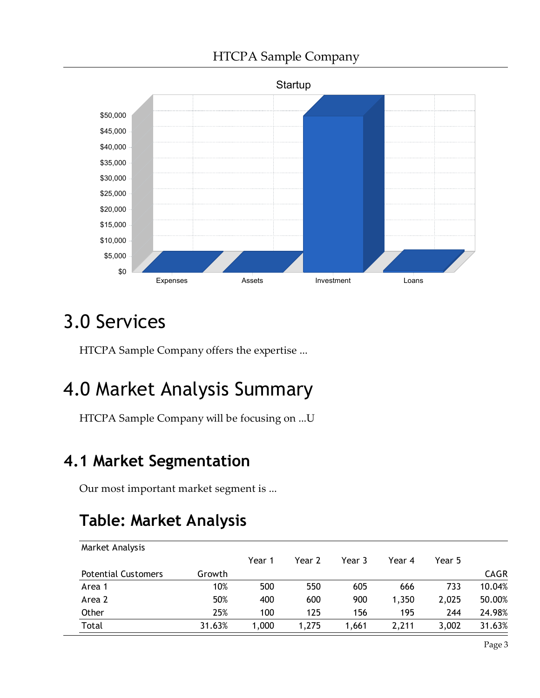

# 3.0 Services

HTCPA Sample Company offers the expertise ...

# 4.0 Market Analysis Summary

HTCPA Sample Company will be focusing on ...U

### 4.1 Market Segmentation

Our most important market segment is ...

## Table: Market Analysis

| Market Analysis            |        |        |        |        |        |        |             |
|----------------------------|--------|--------|--------|--------|--------|--------|-------------|
|                            |        | Year 1 | Year 2 | Year 3 | Year 4 | Year 5 |             |
| <b>Potential Customers</b> | Growth |        |        |        |        |        | <b>CAGR</b> |
| Area 1                     | 10%    | 500    | 550    | 605    | 666    | 733    | 10.04%      |
| Area 2                     | 50%    | 400    | 600    | 900    | 1,350  | 2,025  | 50.00%      |
| Other                      | 25%    | 100    | 125    | 156    | 195    | 244    | 24.98%      |
| Total                      | 31.63% | 1,000  | 1,275  | 1.661  | 2,211  | 3,002  | 31.63%      |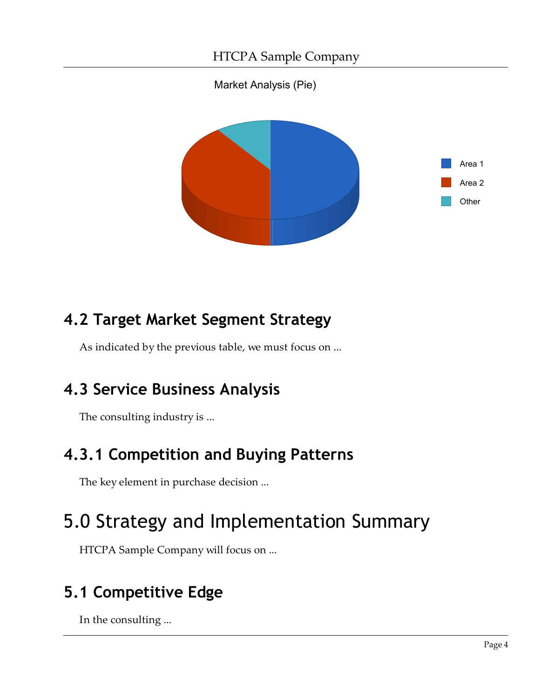Market Analysis (Pie)



## 4.2 Target Market Segment Strategy

As indicated by the previous table, we must focus on ...

### 4.3 Service Business Analysis

The consulting industry is ...

## 4.3.1 Competition and Buying Patterns

The key element in purchase decision ...

# 5.0 Strategy and Implementation Summary

HTCPA Sample Company will focus on ...

## 5.1 Competitive Edge

In the consulting ...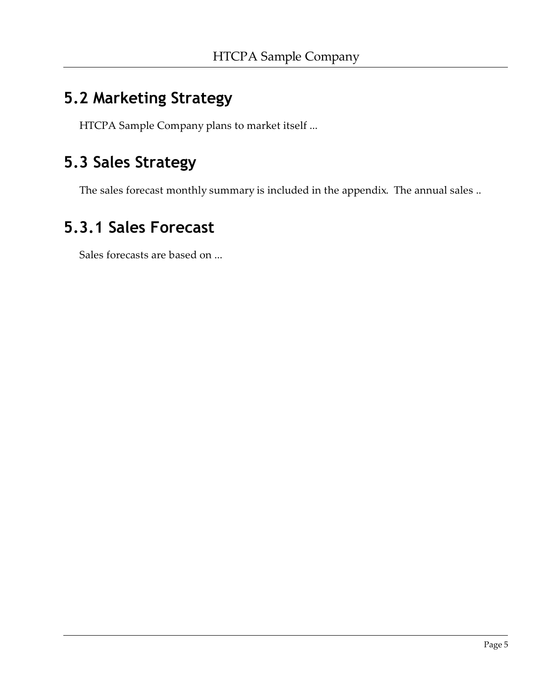#### 5.2 Marketing Strategy

HTCPA Sample Company plans to market itself ...

#### 5.3 Sales Strategy

The sales forecast monthly summary is included in the appendix. The annual sales ..

#### 5.3.1 Sales Forecast

Sales forecasts are based on ...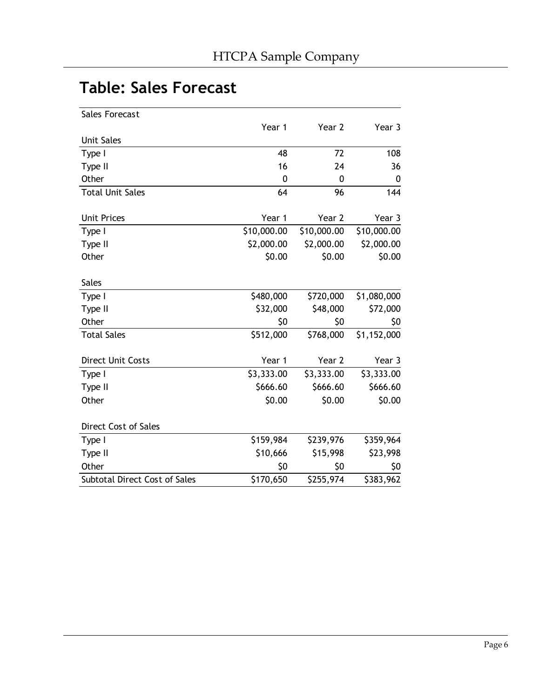#### Table: Sales Forecast

| Sales Forecast                |             |             |             |
|-------------------------------|-------------|-------------|-------------|
|                               | Year 1      | Year 2      | Year 3      |
| <b>Unit Sales</b>             |             |             |             |
| Type I                        | 48          | 72          | 108         |
| Type II                       | 16          | 24          | 36          |
| Other                         | 0           | 0           | 0           |
| <b>Total Unit Sales</b>       | 64          | 96          | 144         |
| <b>Unit Prices</b>            | Year 1      | Year 2      | Year 3      |
| Type I                        | \$10,000.00 | \$10,000.00 | \$10,000.00 |
| Type II                       | \$2,000.00  | \$2,000.00  | \$2,000.00  |
| Other                         | \$0.00      | \$0.00      | \$0.00      |
| <b>Sales</b>                  |             |             |             |
| Type I                        | \$480,000   | \$720,000   | \$1,080,000 |
| Type II                       | \$32,000    | \$48,000    | \$72,000    |
| Other                         | \$0         | \$0         | \$0         |
| <b>Total Sales</b>            | \$512,000   | \$768,000   | \$1,152,000 |
| Direct Unit Costs             | Year 1      | Year 2      | Year 3      |
| Type I                        | \$3,333.00  | \$3,333.00  | \$3,333.00  |
| Type II                       | \$666.60    | \$666.60    | \$666.60    |
| Other                         | \$0.00      | \$0.00      | \$0.00      |
| Direct Cost of Sales          |             |             |             |
| Type I                        | \$159,984   | \$239,976   | \$359,964   |
| Type II                       | \$10,666    | \$15,998    | \$23,998    |
| Other                         | \$0         | \$0         | \$0         |
| Subtotal Direct Cost of Sales | \$170,650   | \$255,974   | \$383,962   |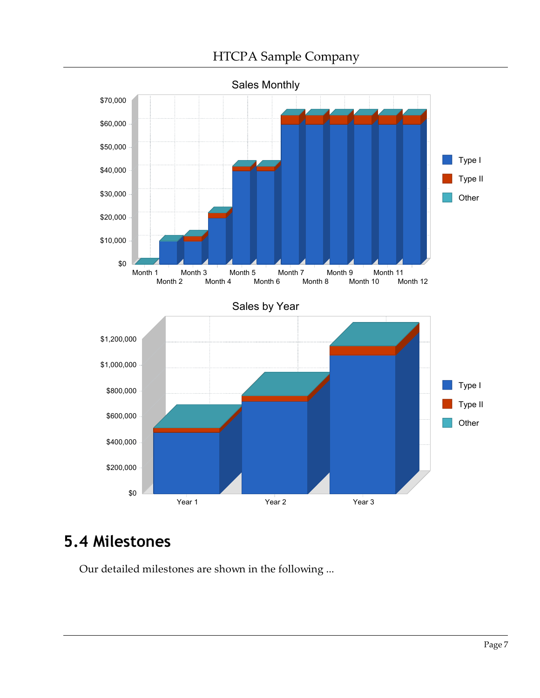

#### 5.4 Milestones

Our detailed milestones are shown in the following ...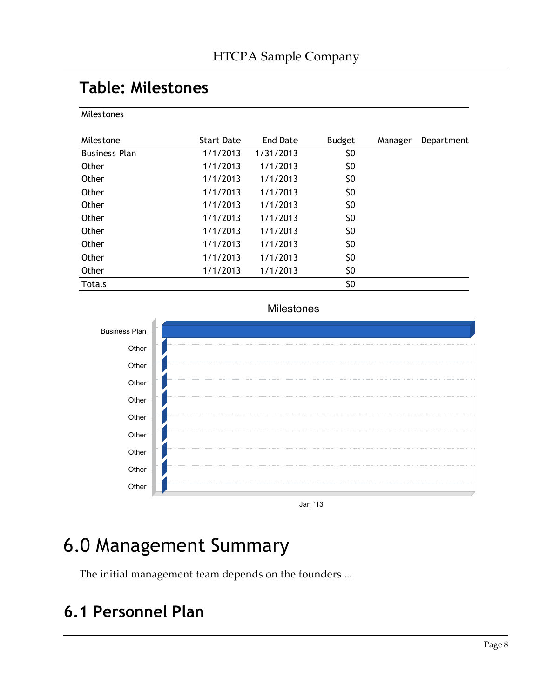#### Table: Milestones

**Milestones** 

| Milestone            | <b>Start Date</b> | End Date  | <b>Budget</b> | Manager | Department |
|----------------------|-------------------|-----------|---------------|---------|------------|
| <b>Business Plan</b> | 1/1/2013          | 1/31/2013 | \$0           |         |            |
| Other                | 1/1/2013          | 1/1/2013  | \$0           |         |            |
| Other                | 1/1/2013          | 1/1/2013  | \$0           |         |            |
| Other                | 1/1/2013          | 1/1/2013  | \$0           |         |            |
| Other                | 1/1/2013          | 1/1/2013  | \$0           |         |            |
| Other                | 1/1/2013          | 1/1/2013  | \$0           |         |            |
| Other                | 1/1/2013          | 1/1/2013  | \$0           |         |            |
| Other                | 1/1/2013          | 1/1/2013  | \$0           |         |            |
| Other                | 1/1/2013          | 1/1/2013  | \$0           |         |            |
| Other                | 1/1/2013          | 1/1/2013  | \$0           |         |            |
| <b>Totals</b>        |                   |           | \$0           |         |            |



Milestones

Jan `13

## 6.0 Management Summary

The initial management team depends on the founders ...

#### 6.1 Personnel Plan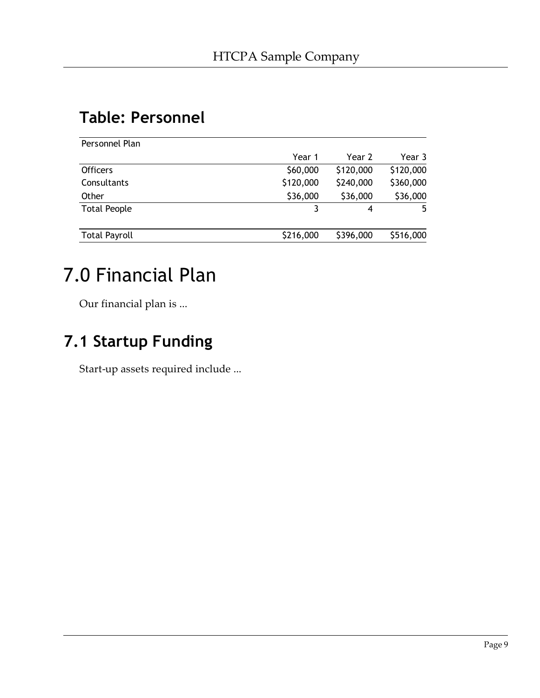#### Table: Personnel

| Personnel Plan       |           |           |           |
|----------------------|-----------|-----------|-----------|
|                      | Year 1    | Year 2    | Year 3    |
| <b>Officers</b>      | \$60,000  | \$120,000 | \$120,000 |
| Consultants          | \$120,000 | \$240,000 | \$360,000 |
| Other                | \$36,000  | \$36,000  | \$36,000  |
| <b>Total People</b>  |           | 4         | 5.        |
| <b>Total Payroll</b> | \$216,000 | \$396,000 | \$516,000 |
|                      |           |           |           |

# 7.0 Financial Plan

Our financial plan is ...

#### 7.1 Startup Funding

Start-up assets required include ...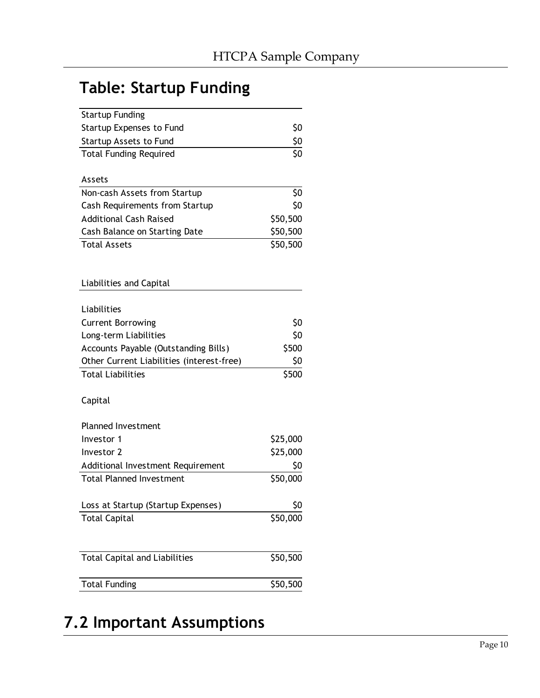### Table: Startup Funding

| <b>Startup Funding</b>                    |          |
|-------------------------------------------|----------|
| <b>Startup Expenses to Fund</b>           | \$0      |
| <b>Startup Assets to Fund</b>             | \$0      |
| <b>Total Funding Required</b>             | \$0      |
| Assets                                    |          |
| Non-cash Assets from Startup              | \$0      |
| Cash Requirements from Startup            | \$0      |
| <b>Additional Cash Raised</b>             | \$50,500 |
| Cash Balance on Starting Date             | \$50,500 |
| <b>Total Assets</b>                       | \$50,500 |
| Liabilities and Capital                   |          |
|                                           |          |
| Liabilities                               |          |
| <b>Current Borrowing</b>                  | \$0      |
| Long-term Liabilities                     | \$0      |
| Accounts Payable (Outstanding Bills)      | \$500    |
| Other Current Liabilities (interest-free) | \$0      |
| <b>Total Liabilities</b>                  | \$500    |
| Capital                                   |          |
| <b>Planned Investment</b>                 |          |
| Investor 1                                | \$25,000 |
| Investor 2                                | \$25,000 |
| Additional Investment Requirement         | \$0      |
| <b>Total Planned Investment</b>           | \$50,000 |
| Loss at Startup (Startup Expenses)        | \$0      |
| <b>Total Capital</b>                      | \$50,000 |
|                                           |          |
| <b>Total Capital and Liabilities</b>      | \$50,500 |
| <b>Total Funding</b>                      | \$50,500 |

## 7.2 Important Assumptions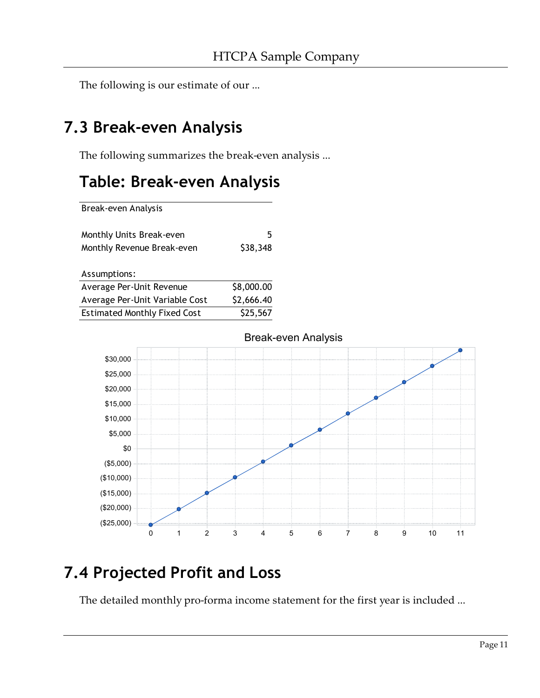The following is our estimate of our ...

#### 7.3 Break-even Analysis

The following summarizes the break-even analysis ...

### Table: Break-even Analysis

Break-even Analysis

| Monthly Units Break-even<br>Monthly Revenue Break-even | 5<br>\$38,348 |
|--------------------------------------------------------|---------------|
| Assumptions:                                           |               |
| Average Per-Unit Revenue                               | \$8,000.00    |
| Average Per-Unit Variable Cost                         | \$2,666.40    |

Estimated Monthly Fixed Cost \$25,567



### 7.4 Projected Profit and Loss

The detailed monthly pro-forma income statement for the first year is included ...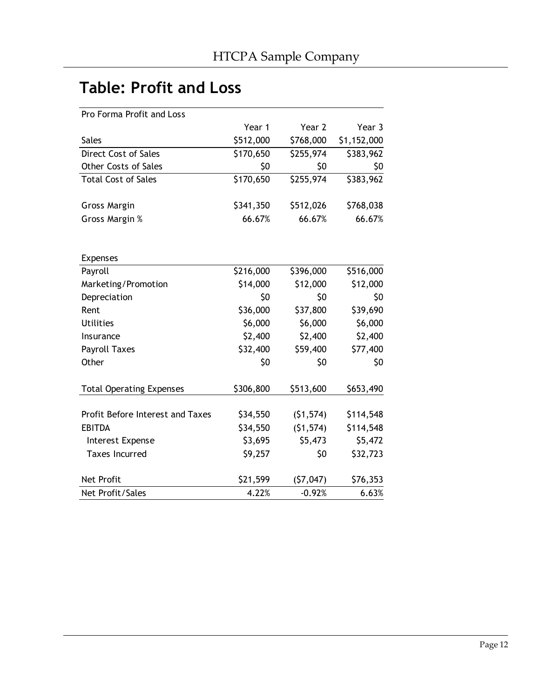### Table: Profit and Loss

| Pro Forma Profit and Loss        |           |           |             |
|----------------------------------|-----------|-----------|-------------|
|                                  | Year 1    | Year 2    | Year 3      |
| <b>Sales</b>                     | \$512,000 | \$768,000 | \$1,152,000 |
| Direct Cost of Sales             | \$170,650 | \$255,974 | \$383,962   |
| <b>Other Costs of Sales</b>      | \$0       | \$0       | \$0         |
| <b>Total Cost of Sales</b>       | \$170,650 | \$255,974 | \$383,962   |
| <b>Gross Margin</b>              | \$341,350 | \$512,026 | \$768,038   |
| Gross Margin %                   | 66.67%    | 66.67%    | 66.67%      |
| <b>Expenses</b>                  |           |           |             |
| Payroll                          | \$216,000 | \$396,000 | \$516,000   |
| Marketing/Promotion              | \$14,000  | \$12,000  | \$12,000    |
| Depreciation                     | \$0       | \$0       | \$0         |
| Rent                             | \$36,000  | \$37,800  | \$39,690    |
| <b>Utilities</b>                 | \$6,000   | \$6,000   | \$6,000     |
| Insurance                        | \$2,400   | \$2,400   | \$2,400     |
| <b>Payroll Taxes</b>             | \$32,400  | \$59,400  | \$77,400    |
| Other                            | \$0       | \$0       | \$0         |
| <b>Total Operating Expenses</b>  | \$306,800 | \$513,600 | \$653,490   |
| Profit Before Interest and Taxes | \$34,550  | (51, 574) | \$114,548   |
| <b>EBITDA</b>                    | \$34,550  | (51, 574) | \$114,548   |
| Interest Expense                 | \$3,695   | \$5,473   | \$5,472     |
| <b>Taxes Incurred</b>            | \$9,257   | \$0       | \$32,723    |
| <b>Net Profit</b>                | \$21,599  | (57,047)  | \$76,353    |
| Net Profit/Sales                 | 4.22%     | $-0.92%$  | 6.63%       |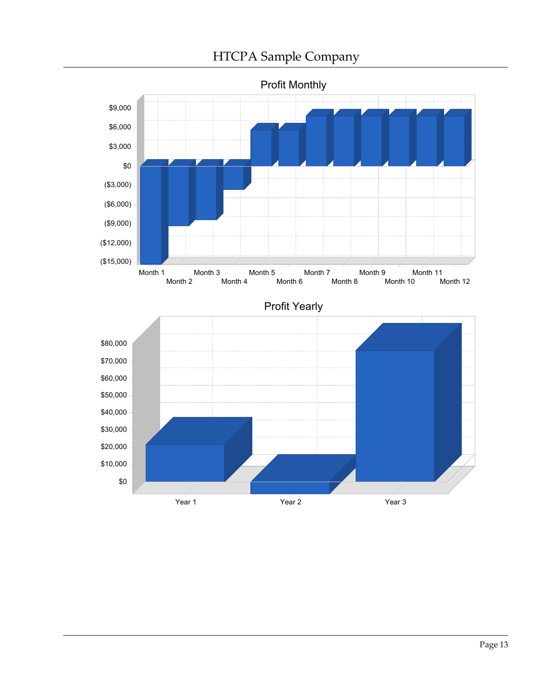

Month 2 Month 4 Month 6 Month 8 Month 10 Month 12



Profit Yearly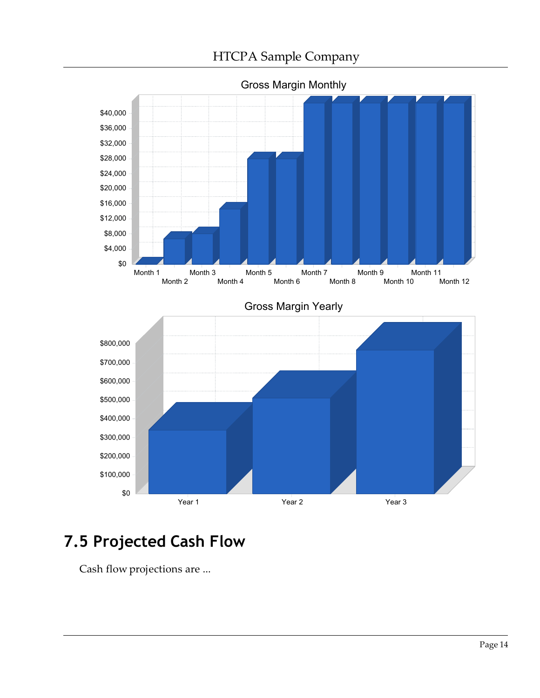

Gross Margin Monthly

### 7.5 Projected Cash Flow

Cash flow projections are ...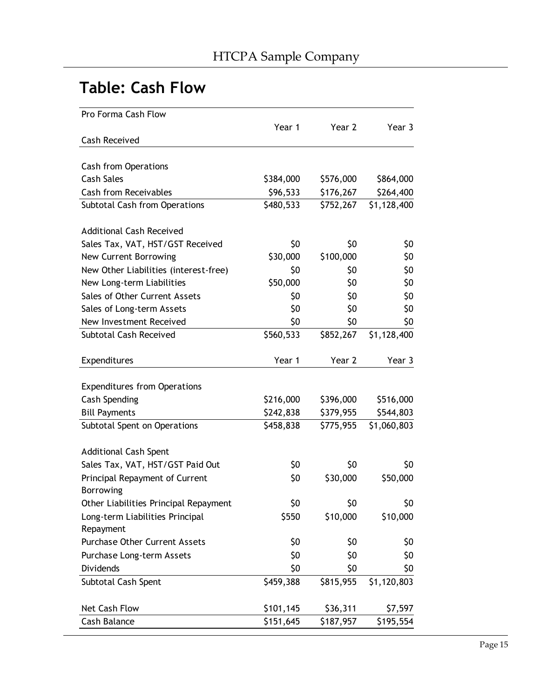### Table: Cash Flow

| Pro Forma Cash Flow                   |           |           |             |
|---------------------------------------|-----------|-----------|-------------|
|                                       | Year 1    | Year 2    | Year 3      |
| <b>Cash Received</b>                  |           |           |             |
|                                       |           |           |             |
| Cash from Operations                  |           |           |             |
| <b>Cash Sales</b>                     | \$384,000 | \$576,000 | \$864,000   |
| <b>Cash from Receivables</b>          | \$96,533  | \$176,267 | \$264,400   |
| Subtotal Cash from Operations         | \$480,533 | \$752,267 | \$1,128,400 |
| <b>Additional Cash Received</b>       |           |           |             |
| Sales Tax, VAT, HST/GST Received      | \$0       | \$0       | \$0         |
| New Current Borrowing                 | \$30,000  | \$100,000 | \$0         |
| New Other Liabilities (interest-free) | \$0       | \$0       | \$0         |
| New Long-term Liabilities             | \$50,000  | \$0       | \$0         |
| Sales of Other Current Assets         | \$0       | \$0       | \$0         |
| Sales of Long-term Assets             | \$0       | \$0       | \$0         |
| New Investment Received               | \$0       | \$0       | \$0         |
| Subtotal Cash Received                | \$560,533 | \$852,267 | \$1,128,400 |
| Expenditures                          | Year 1    | Year 2    | Year 3      |
| <b>Expenditures from Operations</b>   |           |           |             |
| <b>Cash Spending</b>                  | \$216,000 | \$396,000 | \$516,000   |
| <b>Bill Payments</b>                  | \$242,838 | \$379,955 | \$544,803   |
| Subtotal Spent on Operations          | \$458,838 | \$775,955 | \$1,060,803 |
| <b>Additional Cash Spent</b>          |           |           |             |
| Sales Tax, VAT, HST/GST Paid Out      | \$0       | \$0       | \$0         |
| Principal Repayment of Current        | \$0       | \$30,000  | \$50,000    |
| Borrowing                             |           |           |             |
| Other Liabilities Principal Repayment | \$0       | \$0       | \$0         |
| Long-term Liabilities Principal       | \$550     | \$10,000  | \$10,000    |
| Repayment                             |           |           |             |
| <b>Purchase Other Current Assets</b>  | \$0       | \$0       | \$0         |
| Purchase Long-term Assets             | \$0       | \$0       | \$0         |
| Dividends                             | \$0       | \$0       | \$0         |
| Subtotal Cash Spent                   | \$459,388 | \$815,955 | \$1,120,803 |
| Net Cash Flow                         | \$101,145 | \$36,311  | \$7,597     |
| Cash Balance                          | \$151,645 | \$187,957 | \$195,554   |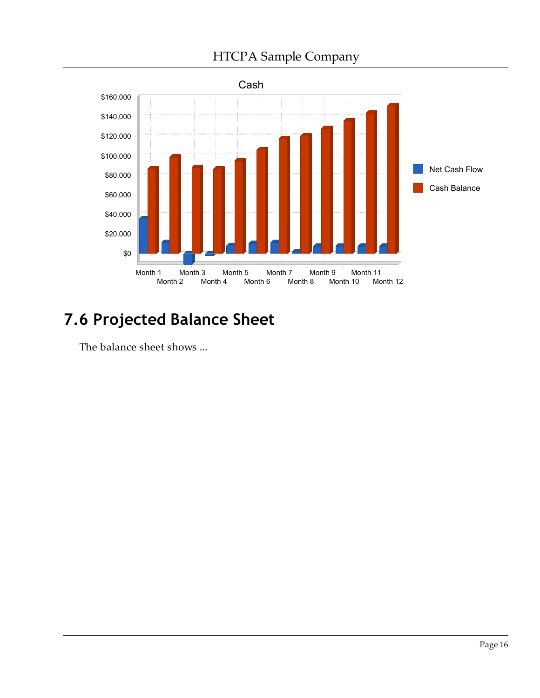

### 7.6 Projected Balance Sheet

The balance sheet shows ...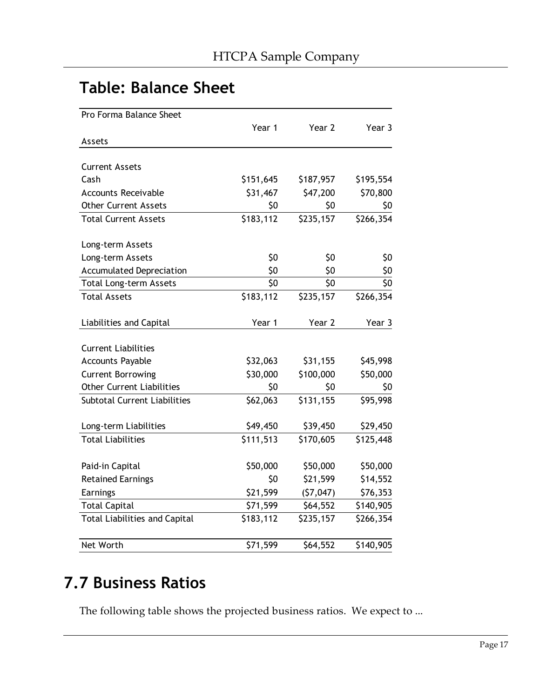#### Table: Balance Sheet

| Pro Forma Balance Sheet              |           |           |           |
|--------------------------------------|-----------|-----------|-----------|
|                                      | Year 1    | Year 2    | Year 3    |
| Assets                               |           |           |           |
|                                      |           |           |           |
| <b>Current Assets</b>                |           |           |           |
| Cash                                 | \$151,645 | \$187,957 | \$195,554 |
| <b>Accounts Receivable</b>           | \$31,467  | \$47,200  | \$70,800  |
| <b>Other Current Assets</b>          | \$0       | \$0       | \$0       |
| <b>Total Current Assets</b>          | \$183,112 | \$235,157 | \$266,354 |
| Long-term Assets                     |           |           |           |
| Long-term Assets                     | \$0       | \$0       | \$0       |
| <b>Accumulated Depreciation</b>      | \$0       | \$0       | \$0       |
| Total Long-term Assets               | \$0       | \$0       | \$0       |
| <b>Total Assets</b>                  | \$183,112 | \$235,157 | \$266,354 |
| Liabilities and Capital              | Year 1    | Year 2    | Year 3    |
| <b>Current Liabilities</b>           |           |           |           |
| <b>Accounts Payable</b>              | \$32,063  | \$31,155  | \$45,998  |
| <b>Current Borrowing</b>             | \$30,000  | \$100,000 | \$50,000  |
| <b>Other Current Liabilities</b>     | \$0       | \$0       | \$0       |
| Subtotal Current Liabilities         | \$62,063  | \$131,155 | \$95,998  |
| Long-term Liabilities                | \$49,450  | \$39,450  | \$29,450  |
| <b>Total Liabilities</b>             | \$111,513 | \$170,605 | \$125,448 |
| Paid-in Capital                      | \$50,000  | \$50,000  | \$50,000  |
| <b>Retained Earnings</b>             | \$0       | \$21,599  | \$14,552  |
| Earnings                             | \$21,599  | (57, 047) | \$76,353  |
| <b>Total Capital</b>                 | \$71,599  | \$64,552  | \$140,905 |
| <b>Total Liabilities and Capital</b> | \$183,112 | \$235,157 | \$266,354 |
| Net Worth                            | \$71,599  | \$64,552  | \$140,905 |

#### 7.7 Business Ratios

The following table shows the projected business ratios. We expect to ...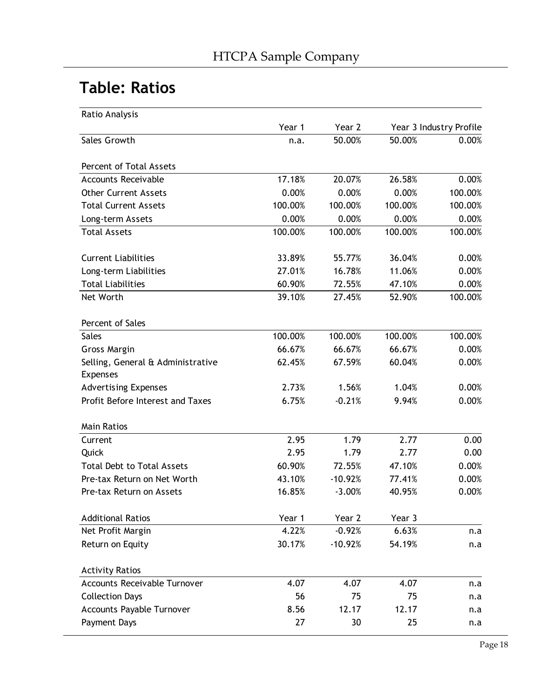### Table: Ratios

| Ratio Analysis                                       |         |           |         |                         |
|------------------------------------------------------|---------|-----------|---------|-------------------------|
|                                                      | Year 1  | Year 2    |         | Year 3 Industry Profile |
| Sales Growth                                         | n.a.    | 50.00%    | 50.00%  | 0.00%                   |
| Percent of Total Assets                              |         |           |         |                         |
| <b>Accounts Receivable</b>                           | 17.18%  | 20.07%    | 26.58%  | 0.00%                   |
| <b>Other Current Assets</b>                          | 0.00%   | 0.00%     | 0.00%   | 100.00%                 |
| <b>Total Current Assets</b>                          | 100.00% | 100.00%   | 100.00% | 100.00%                 |
| Long-term Assets                                     | 0.00%   | 0.00%     | 0.00%   | 0.00%                   |
| <b>Total Assets</b>                                  | 100.00% | 100.00%   | 100.00% | 100.00%                 |
| <b>Current Liabilities</b>                           | 33.89%  | 55.77%    | 36.04%  | 0.00%                   |
| Long-term Liabilities                                | 27.01%  | 16.78%    | 11.06%  | 0.00%                   |
| <b>Total Liabilities</b>                             | 60.90%  | 72.55%    | 47.10%  | 0.00%                   |
| Net Worth                                            | 39.10%  | 27.45%    | 52.90%  | 100.00%                 |
| Percent of Sales                                     |         |           |         |                         |
| <b>Sales</b>                                         | 100.00% | 100.00%   | 100.00% | 100.00%                 |
| Gross Margin                                         | 66.67%  | 66.67%    | 66.67%  | 0.00%                   |
| Selling, General & Administrative<br><b>Expenses</b> | 62.45%  | 67.59%    | 60.04%  | 0.00%                   |
| <b>Advertising Expenses</b>                          | 2.73%   | 1.56%     | 1.04%   | 0.00%                   |
| Profit Before Interest and Taxes                     | 6.75%   | $-0.21%$  | 9.94%   | 0.00%                   |
| <b>Main Ratios</b>                                   |         |           |         |                         |
| Current                                              | 2.95    | 1.79      | 2.77    | 0.00                    |
| Quick                                                | 2.95    | 1.79      | 2.77    | 0.00                    |
| <b>Total Debt to Total Assets</b>                    | 60.90%  | 72.55%    | 47.10%  | 0.00%                   |
| Pre-tax Return on Net Worth                          | 43.10%  | $-10.92%$ | 77.41%  | 0.00%                   |
| Pre-tax Return on Assets                             | 16.85%  | $-3.00%$  | 40.95%  | 0.00%                   |
| <b>Additional Ratios</b>                             | Year 1  | Year 2    | Year 3  |                         |
| Net Profit Margin                                    | 4.22%   | $-0.92%$  | 6.63%   | n.a                     |
| Return on Equity                                     | 30.17%  | $-10.92%$ | 54.19%  | n.a                     |
| <b>Activity Ratios</b>                               |         |           |         |                         |
| Accounts Receivable Turnover                         | 4.07    | 4.07      | 4.07    | n.a                     |
| <b>Collection Days</b>                               | 56      | 75        | 75      | n.a                     |
| <b>Accounts Payable Turnover</b>                     | 8.56    | 12.17     | 12.17   | n.a                     |
| Payment Days                                         | 27      | 30        | 25      | n.a                     |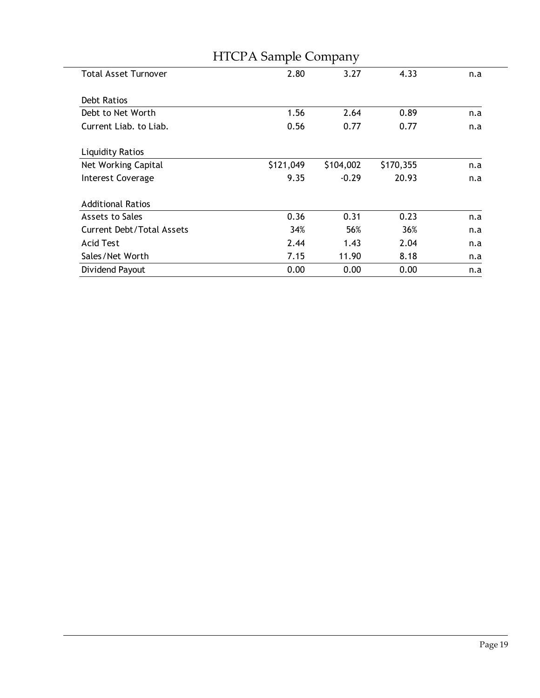|                                  | <b>HICPA Sample Company</b> |           |           |     |
|----------------------------------|-----------------------------|-----------|-----------|-----|
| <b>Total Asset Turnover</b>      | 2.80                        | 3.27      | 4.33      | n.a |
|                                  |                             |           |           |     |
| Debt Ratios                      |                             |           |           |     |
| Debt to Net Worth                | 1.56                        | 2.64      | 0.89      | n.a |
| Current Liab. to Liab.           | 0.56                        | 0.77      | 0.77      | n.a |
|                                  |                             |           |           |     |
| <b>Liquidity Ratios</b>          |                             |           |           |     |
| Net Working Capital              | \$121,049                   | \$104,002 | \$170,355 | n.a |
| <b>Interest Coverage</b>         | 9.35                        | $-0.29$   | 20.93     | n.a |
|                                  |                             |           |           |     |
| <b>Additional Ratios</b>         |                             |           |           |     |
| Assets to Sales                  | 0.36                        | 0.31      | 0.23      | n.a |
| <b>Current Debt/Total Assets</b> | 34%                         | 56%       | 36%       | n.a |
| Acid Test                        | 2.44                        | 1.43      | 2.04      | n.a |
| Sales/Net Worth                  | 7.15                        | 11.90     | 8.18      | n.a |
| Dividend Payout                  | 0.00                        | 0.00      | 0.00      | n.a |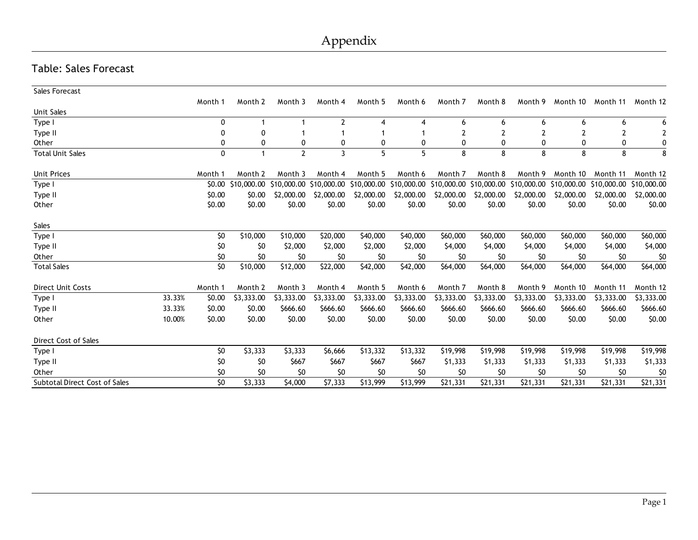#### Table: Sales Forecast

| Sales Forecast                       |        |         |             |              |                         |             |            |                                                 |            |            |             |             |             |
|--------------------------------------|--------|---------|-------------|--------------|-------------------------|-------------|------------|-------------------------------------------------|------------|------------|-------------|-------------|-------------|
|                                      |        | Month 1 | Month 2     | Month 3      | Month 4                 | Month 5     | Month 6    | Month 7                                         | Month 8    | Month 9    | Month 10    | Month 11    | Month 12    |
| Unit Sales                           |        |         |             |              |                         |             |            |                                                 |            |            |             |             |             |
| Type I                               |        | 0       | 1           |              | $\overline{2}$          | 4           | 4          | 6                                               | 6          | 6          | 6           | 6           | 6           |
| Type II                              |        | 0       | 0           |              |                         |             |            |                                                 |            |            |             |             | 2           |
| Other                                |        | 0       | 0           | 0            | 0                       | 0           | 0          | 0                                               | 0          | 0          | $\Omega$    | 0           | 0           |
| <b>Total Unit Sales</b>              |        | 0       | 1           | $\mathbf{2}$ | 3                       | 5           | 5          | 8                                               | 8          | 8          | 8           | 8           | 8           |
|                                      |        |         |             |              |                         |             |            |                                                 |            |            |             |             |             |
| <b>Unit Prices</b>                   |        | Month 1 | Month 2     | Month 3      | Month 4                 | Month 5     | Month 6    | Month 7                                         | Month 8    | Month 9    | Month 10    | Month 11    | Month 12    |
| Type I                               |        | \$0.00  | \$10,000.00 |              | \$10,000.00 \$10,000.00 | \$10,000.00 |            | \$10,000.00 \$10,000.00 \$10,000.00 \$10,000.00 |            |            | \$10,000.00 | \$10,000.00 | \$10,000.00 |
| Type II                              |        | \$0.00  | \$0.00      | \$2,000.00   | \$2,000.00              | \$2,000.00  | \$2,000.00 | \$2,000.00                                      | \$2,000.00 | \$2,000.00 | \$2,000.00  | \$2,000.00  | \$2,000.00  |
| Other                                |        | \$0.00  | \$0.00      | \$0.00       | \$0.00                  | \$0.00      | \$0.00     | \$0.00                                          | \$0.00     | \$0.00     | \$0.00      | \$0.00      | \$0.00      |
| Sales                                |        |         |             |              |                         |             |            |                                                 |            |            |             |             |             |
|                                      |        |         |             |              |                         |             |            |                                                 |            |            |             |             |             |
| Type I                               |        | \$0     | \$10,000    | \$10,000     | \$20,000                | \$40,000    | \$40,000   | \$60,000                                        | \$60,000   | \$60,000   | \$60,000    | \$60,000    | \$60,000    |
| Type II                              |        | \$0     | \$0         | \$2,000      | \$2,000                 | \$2,000     | \$2,000    | \$4,000                                         | \$4,000    | \$4,000    | \$4,000     | \$4,000     | \$4,000     |
| Other                                |        | \$0     | \$0         | \$0          | \$0                     | \$0         | \$0        | \$0                                             | \$0        | \$0        | \$0         | \$0         | \$0         |
| <b>Total Sales</b>                   |        | \$0     | \$10,000    | \$12,000     | \$22,000                | \$42,000    | \$42,000   | \$64,000                                        | \$64,000   | \$64,000   | \$64,000    | \$64,000    | \$64,000    |
| <b>Direct Unit Costs</b>             |        | Month 1 | Month 2     | Month 3      | Month 4                 | Month 5     | Month 6    | Month 7                                         | Month 8    | Month 9    | Month 10    | Month 11    | Month 12    |
| Type I                               | 33.33% | \$0.00  | \$3,333.00  | \$3,333.00   | \$3,333.00              | \$3,333.00  | \$3,333.00 | \$3,333.00                                      | \$3,333.00 | \$3,333.00 | \$3,333.00  | \$3,333.00  | \$3,333.00  |
| Type II                              | 33.33% | \$0.00  | \$0.00      | \$666.60     | \$666.60                | \$666.60    | \$666.60   | \$666.60                                        | \$666.60   | \$666.60   | \$666.60    | \$666.60    | \$666.60    |
| Other                                | 10.00% | \$0.00  | \$0.00      | \$0.00       | \$0.00                  | \$0.00      | \$0.00     | \$0.00                                          | \$0.00     | \$0.00     | \$0.00      | \$0.00      | \$0.00      |
| Direct Cost of Sales                 |        |         |             |              |                         |             |            |                                                 |            |            |             |             |             |
| Type I                               |        | \$0     | \$3,333     | \$3,333      | \$6,666                 | \$13,332    | \$13,332   | \$19,998                                        | \$19,998   | \$19,998   | \$19,998    | \$19,998    | \$19,998    |
| Type II                              |        | \$0     | \$0         | \$667        | \$667                   | \$667       | \$667      | \$1,333                                         | \$1,333    | \$1,333    | \$1,333     | \$1,333     | \$1,333     |
| Other                                |        | \$0     | \$0         | \$0          | \$0                     | \$0         | \$0        | \$0                                             | \$0        | \$0        | \$0         | \$0         | \$0         |
| <b>Subtotal Direct Cost of Sales</b> |        | \$0     | \$3,333     | \$4,000      | \$7,333                 | \$13,999    | \$13,999   | \$21,331                                        | \$21,331   | \$21,331   | \$21,331    | \$21,331    | \$21,331    |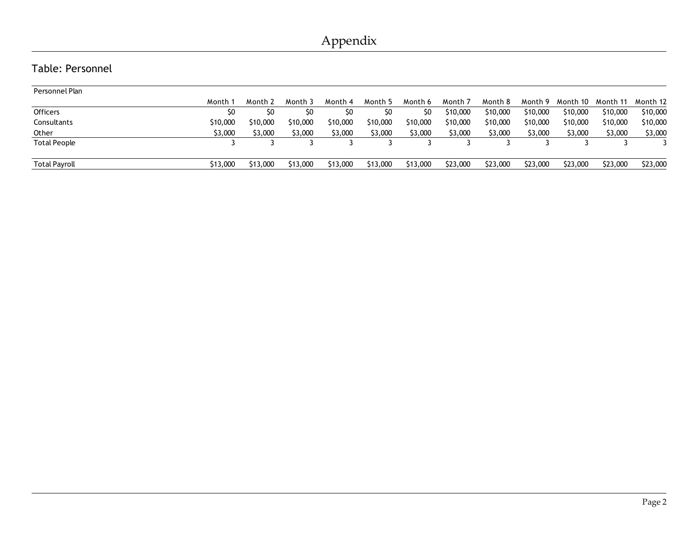#### Table: Personnel

| Personnel Plan       |          |          |          |                |          |          |          |          |          |          |          |          |
|----------------------|----------|----------|----------|----------------|----------|----------|----------|----------|----------|----------|----------|----------|
|                      | Month    | Month 2  | Month 3  | Month 4        | Month 5  | Month 6  | Month 7  | Month 8  | Month 9  | Month 10 | Month 11 | Month 12 |
| <b>Officers</b>      | S0       | S0       | SO       | S <sub>0</sub> | SO.      | S0       | \$10,000 | \$10,000 | \$10,000 | \$10,000 | \$10,000 | \$10,000 |
| Consultants          | \$10,000 | \$10,000 | \$10,000 | \$10,000       | \$10,000 | \$10,000 | \$10,000 | \$10,000 | \$10,000 | \$10,000 | \$10,000 | \$10,000 |
| Other                | \$3,000  | \$3,000  | \$3,000  | \$3,000        | \$3,000  | \$3,000  | \$3,000  | \$3,000  | \$3,000  | \$3,000  | \$3,000  | \$3,000  |
| <b>Total People</b>  |          |          |          |                |          |          |          |          |          |          |          |          |
| <b>Total Payroll</b> | \$13,000 | \$13,000 | \$13,000 | \$13,000       | \$13,000 | \$13,000 | \$23,000 | \$23,000 | \$23,000 | \$23,000 | \$23,000 | \$23,000 |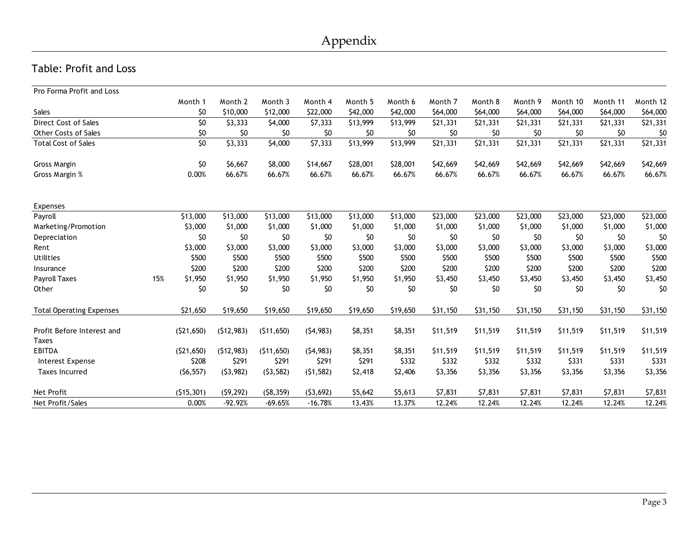#### Table: Profit and Loss

| Pro Forma Profit and Loss                  |     |                 |            |            |           |          |          |          |          |          |          |          |          |
|--------------------------------------------|-----|-----------------|------------|------------|-----------|----------|----------|----------|----------|----------|----------|----------|----------|
|                                            |     | Month 1         | Month 2    | Month 3    | Month 4   | Month 5  | Month 6  | Month 7  | Month 8  | Month 9  | Month 10 | Month 11 | Month 12 |
| Sales                                      |     | \$0             | \$10,000   | \$12,000   | \$22,000  | \$42,000 | \$42,000 | \$64,000 | \$64,000 | \$64,000 | \$64,000 | \$64,000 | \$64,000 |
| Direct Cost of Sales                       |     | \$0             | \$3,333    | \$4,000    | \$7,333   | \$13,999 | \$13,999 | \$21,331 | \$21,331 | \$21,331 | \$21,331 | \$21,331 | \$21,331 |
| <b>Other Costs of Sales</b>                |     | \$0             | \$0        | \$0        | \$0       | \$0      | \$0      | \$0      | \$0      | \$0      | \$0      | \$0      | \$0      |
| <b>Total Cost of Sales</b>                 |     | $\overline{50}$ | \$3,333    | \$4,000    | \$7,333   | \$13,999 | \$13,999 | \$21,331 | \$21,331 | \$21,331 | \$21,331 | \$21,331 | \$21,331 |
| Gross Margin                               |     | \$0             | \$6,667    | \$8,000    | \$14,667  | \$28,001 | \$28,001 | \$42,669 | \$42,669 | \$42,669 | \$42,669 | \$42,669 | \$42,669 |
| Gross Margin %                             |     | 0.00%           | 66.67%     | 66.67%     | 66.67%    | 66.67%   | 66.67%   | 66.67%   | 66.67%   | 66.67%   | 66.67%   | 66.67%   | 66.67%   |
| Expenses                                   |     |                 |            |            |           |          |          |          |          |          |          |          |          |
| Payroll                                    |     | \$13,000        | \$13,000   | \$13,000   | \$13,000  | \$13,000 | \$13,000 | \$23,000 | \$23,000 | \$23,000 | \$23,000 | \$23,000 | \$23,000 |
| Marketing/Promotion                        |     | \$3,000         | \$1,000    | \$1,000    | \$1,000   | \$1,000  | \$1,000  | \$1,000  | \$1,000  | \$1,000  | \$1,000  | \$1,000  | \$1,000  |
| Depreciation                               |     | \$0             | \$0        | \$0        | \$0       | \$0      | \$0      | \$0      | \$0      | \$0      | \$0      | \$0      | \$0      |
| Rent                                       |     | \$3,000         | \$3,000    | \$3,000    | \$3,000   | \$3,000  | \$3,000  | \$3,000  | \$3,000  | \$3,000  | \$3,000  | \$3,000  | \$3,000  |
| <b>Utilities</b>                           |     | \$500           | \$500      | \$500      | \$500     | \$500    | \$500    | \$500    | \$500    | \$500    | \$500    | \$500    | \$500    |
| Insurance                                  |     | \$200           | \$200      | \$200      | \$200     | \$200    | \$200    | \$200    | \$200    | \$200    | \$200    | \$200    | \$200    |
| Payroll Taxes                              | 15% | \$1,950         | \$1,950    | \$1,950    | \$1,950   | \$1,950  | \$1,950  | \$3,450  | \$3,450  | \$3,450  | \$3,450  | \$3,450  | \$3,450  |
| Other                                      |     | \$0             | \$0        | \$0        | \$0       | \$0      | \$0      | \$0      | \$0      | \$0      | \$0      | \$0      | \$0      |
| <b>Total Operating Expenses</b>            |     | \$21,650        | \$19,650   | \$19,650   | \$19,650  | \$19,650 | \$19,650 | \$31,150 | \$31,150 | \$31,150 | \$31,150 | \$31,150 | \$31,150 |
| Profit Before Interest and<br><b>Taxes</b> |     | (521, 650)      | (512, 983) | (511, 650) | (54, 983) | \$8,351  | \$8,351  | \$11,519 | \$11,519 | \$11,519 | \$11,519 | \$11,519 | \$11,519 |
| <b>EBITDA</b>                              |     | (521, 650)      | (512, 983) | (511, 650) | (54, 983) | \$8,351  | \$8,351  | \$11,519 | \$11,519 | \$11,519 | \$11,519 | \$11,519 | \$11,519 |
| Interest Expense                           |     | \$208           | \$291      | \$291      | \$291     | \$291    | \$332    | \$332    | \$332    | \$332    | \$331    | \$331    | \$331    |
| <b>Taxes Incurred</b>                      |     | (56, 557)       | (53, 982)  | (53, 582)  | (51, 582) | \$2,418  | \$2,406  | \$3,356  | \$3,356  | \$3,356  | \$3,356  | \$3,356  | \$3,356  |
| <b>Net Profit</b>                          |     | (515, 301)      | (59, 292)  | (58, 359)  | (53, 692) | \$5,642  | \$5,613  | \$7,831  | \$7,831  | \$7,831  | \$7,831  | \$7,831  | \$7,831  |
| Net Profit/Sales                           |     | 0.00%           | $-92.92%$  | $-69.65%$  | $-16.78%$ | 13.43%   | 13.37%   | 12.24%   | 12.24%   | 12.24%   | 12.24%   | 12.24%   | 12.24%   |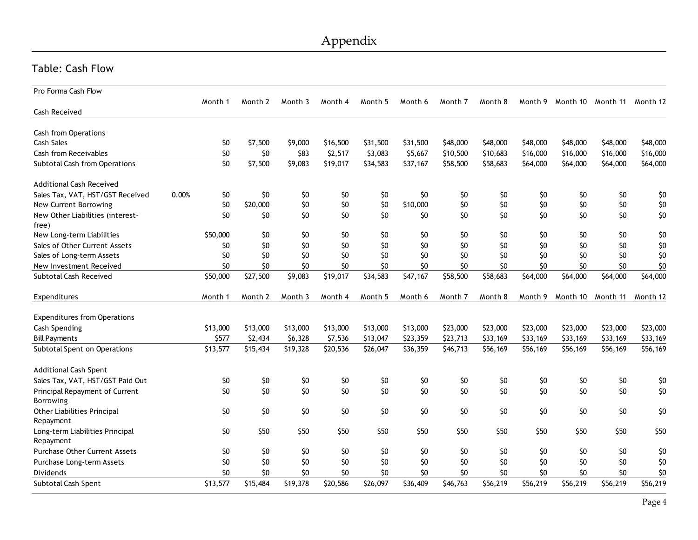#### Table: Cash Flow

| Pro Forma Cash Flow                  |       |          |                 |          |          |          |          |          |          |          |          |          |                 |
|--------------------------------------|-------|----------|-----------------|----------|----------|----------|----------|----------|----------|----------|----------|----------|-----------------|
|                                      |       | Month 1  | Month 2         | Month 3  | Month 4  | Month 5  | Month 6  | Month 7  | Month 8  | Month 9  | Month 10 | Month 11 | Month 12        |
| Cash Received                        |       |          |                 |          |          |          |          |          |          |          |          |          |                 |
|                                      |       |          |                 |          |          |          |          |          |          |          |          |          |                 |
| <b>Cash from Operations</b>          |       |          |                 |          |          |          |          |          |          |          |          |          |                 |
| Cash Sales                           |       | \$0      | \$7,500         | \$9,000  | \$16,500 | \$31,500 | \$31,500 | \$48,000 | \$48,000 | \$48,000 | \$48,000 | \$48,000 | \$48,000        |
| Cash from Receivables                |       | \$0      | \$0             | \$83     | \$2,517  | \$3,083  | \$5,667  | \$10,500 | \$10,683 | \$16,000 | \$16,000 | \$16,000 | \$16,000        |
| Subtotal Cash from Operations        |       | \$0      | \$7,500         | \$9,083  | \$19,017 | \$34,583 | \$37,167 | \$58,500 | \$58,683 | \$64,000 | \$64,000 | \$64,000 | \$64,000        |
| <b>Additional Cash Received</b>      |       |          |                 |          |          |          |          |          |          |          |          |          |                 |
| Sales Tax, VAT, HST/GST Received     | 0.00% | \$0      | \$0             | \$0      | \$0      | \$0      | \$0      | \$0      | \$0      | \$0      | \$0      | \$0      | \$0             |
| New Current Borrowing                |       | \$0      | \$20,000        | \$0      | \$0      | \$0      | \$10,000 | \$0      | \$0      | \$0      | \$0      | \$0      | \$0             |
| New Other Liabilities (interest-     |       | \$0      | \$0             | \$0      | \$0      | \$0      | \$0      | \$0      | \$0      | \$0      | \$0      | \$0      | \$0             |
| free)                                |       |          |                 |          |          |          |          |          |          |          |          |          |                 |
| New Long-term Liabilities            |       | \$50,000 | \$0             | \$0      | \$0      | \$0      | \$0      | \$0      | \$0      | \$0      | \$0      | \$0      | \$0             |
| Sales of Other Current Assets        |       | \$0      | \$0             | \$0      | \$0      | \$0      | \$0      | \$0      | \$0      | \$0      | \$0      | \$0      | \$0             |
| Sales of Long-term Assets            |       | \$0      | \$0             | \$0      | \$0      | \$0      | \$0      | \$0      | \$0      | \$0      | \$0      | \$0      | \$0             |
| New Investment Received              |       | \$0      | \$0             | \$0      | \$0      | \$0      | \$0      | \$0      | \$0      | \$0      | \$0      | \$0      | \$0             |
| Subtotal Cash Received               |       | \$50,000 | \$27,500        | \$9,083  | \$19,017 | \$34,583 | \$47,167 | \$58,500 | \$58,683 | \$64,000 | \$64,000 | \$64,000 | \$64,000        |
| Expenditures                         |       | Month 1  | Month 2         | Month 3  | Month 4  | Month 5  | Month 6  | Month 7  | Month 8  | Month 9  | Month 10 | Month 11 | Month 12        |
|                                      |       |          |                 |          |          |          |          |          |          |          |          |          |                 |
|                                      |       |          |                 |          |          |          |          |          |          |          |          |          |                 |
| <b>Expenditures from Operations</b>  |       |          |                 |          |          |          |          |          |          |          |          |          |                 |
| Cash Spending                        |       | \$13,000 | \$13,000        | \$13,000 | \$13,000 | \$13,000 | \$13,000 | \$23,000 | \$23,000 | \$23,000 | \$23,000 | \$23,000 | \$23,000        |
| <b>Bill Payments</b>                 |       | \$577    | \$2,434         | \$6,328  | \$7,536  | \$13,047 | \$23,359 | \$23,713 | \$33,169 | \$33,169 | \$33,169 | \$33,169 | \$33,169        |
| Subtotal Spent on Operations         |       | \$13,577 | \$15,434        | \$19,328 | \$20,536 | \$26,047 | \$36,359 | \$46,713 | \$56,169 | \$56,169 | \$56,169 | \$56,169 | \$56,169        |
| <b>Additional Cash Spent</b>         |       |          |                 |          |          |          |          |          |          |          |          |          |                 |
| Sales Tax, VAT, HST/GST Paid Out     |       | \$0      | \$0             | \$0      | \$0      | \$0      | \$0      | \$0      | \$0      | \$0      | \$0      | \$0      | \$0             |
| Principal Repayment of Current       |       | \$0      | \$0             | \$0      | \$0      | \$0      | \$0      | \$0      | \$0      | \$0      | \$0      | \$0      | \$0             |
| <b>Borrowing</b>                     |       |          |                 |          |          |          |          |          |          |          |          |          |                 |
| Other Liabilities Principal          |       | \$0      | \$0             | \$0      | \$0      | \$0      | \$0      | \$0      | \$0      | \$0      | \$0      | \$0      | \$0             |
| Repayment                            |       |          |                 |          |          |          |          |          |          |          |          |          |                 |
| Long-term Liabilities Principal      |       | \$0      | \$50            | \$50     | \$50     | \$50     | \$50     | \$50     | \$50     | \$50     | \$50     | \$50     | \$50            |
| Repayment                            |       |          |                 |          |          |          |          |          |          |          |          |          |                 |
| <b>Purchase Other Current Assets</b> |       | \$0      | \$0             | \$0      | \$0      | \$0      | \$0      | \$0      | \$0      | \$0      | \$0      | \$0      | \$0             |
| Purchase Long-term Assets            |       | \$0      | \$0             | \$0      | \$0      | \$0      | \$0      | \$0      | \$0      | \$0      | \$0      | \$0      | \$0             |
| Dividends                            |       | \$O      | \$0<br>\$15,484 | \$0      | \$0      | \$0      | 50       | \$0      | \$0      | \$0      | \$0      | \$0      | \$0<br>\$56,219 |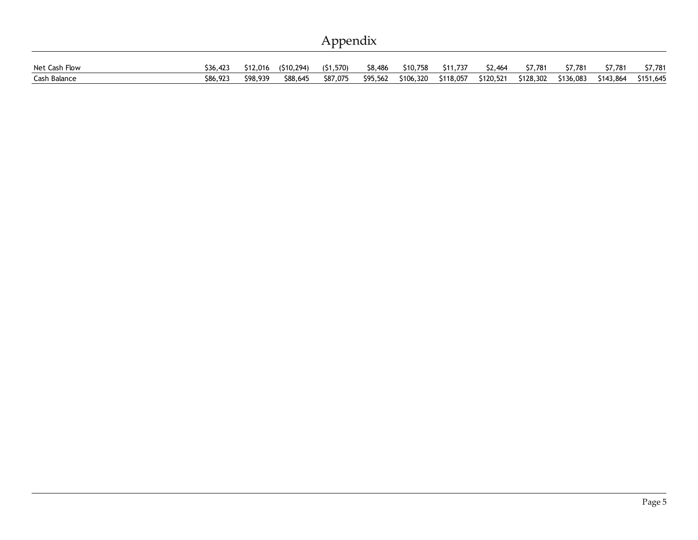| Appendix |  |
|----------|--|
|          |  |

| Net Cash Flow | \$36,423 | \$12,016 | (510.294) | (51, 570) | \$8,486  | \$10,758  | \$11,737  | \$2,464   | \$7,781   | \$7,781   | \$7,781   | \$7,781   |
|---------------|----------|----------|-----------|-----------|----------|-----------|-----------|-----------|-----------|-----------|-----------|-----------|
| Cash Balance  | \$86,923 | \$98,939 | \$88,645  | \$87,075  | \$95,562 | \$106,320 | \$118,057 | \$120,521 | \$128,302 | \$136,083 | \$143,864 | \$151,645 |